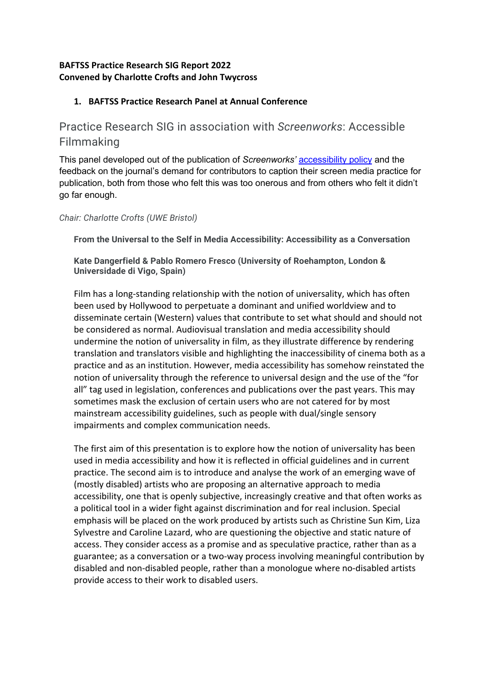## **BAFTSS Practice Research SIG Report 2022 Convened by Charlotte Crofts and John Twycross**

# **1. BAFTSS Practice Research Panel at Annual Conference**

Practice Research SIG in association with *Screenworks*: Accessible Filmmaking

This panel developed out of the publication of *Screenworks'* accessibility policy and the feedback on the journal's demand for contributors to caption their screen media practice for publication, both from those who felt this was too onerous and from others who felt it didn't go far enough.

*Chair: Charlotte Crofts (UWE Bristol)*

**From the Universal to the Self in Media Accessibility: Accessibility as a Conversation**

**Kate Dangerfield & Pablo Romero Fresco (University of Roehampton, London & Universidade di Vigo, Spain)**

Film has a long-standing relationship with the notion of universality, which has often been used by Hollywood to perpetuate a dominant and unified worldview and to disseminate certain (Western) values that contribute to set what should and should not be considered as normal. Audiovisual translation and media accessibility should undermine the notion of universality in film, as they illustrate difference by rendering translation and translators visible and highlighting the inaccessibility of cinema both as a practice and as an institution. However, media accessibility has somehow reinstated the notion of universality through the reference to universal design and the use of the "for all" tag used in legislation, conferences and publications over the past years. This may sometimes mask the exclusion of certain users who are not catered for by most mainstream accessibility guidelines, such as people with dual/single sensory impairments and complex communication needs.

The first aim of this presentation is to explore how the notion of universality has been used in media accessibility and how it is reflected in official guidelines and in current practice. The second aim is to introduce and analyse the work of an emerging wave of (mostly disabled) artists who are proposing an alternative approach to media accessibility, one that is openly subjective, increasingly creative and that often works as a political tool in a wider fight against discrimination and for real inclusion. Special emphasis will be placed on the work produced by artists such as Christine Sun Kim, Liza Sylvestre and Caroline Lazard, who are questioning the objective and static nature of access. They consider access as a promise and as speculative practice, rather than as a guarantee; as a conversation or a two-way process involving meaningful contribution by disabled and non-disabled people, rather than a monologue where no-disabled artists provide access to their work to disabled users.